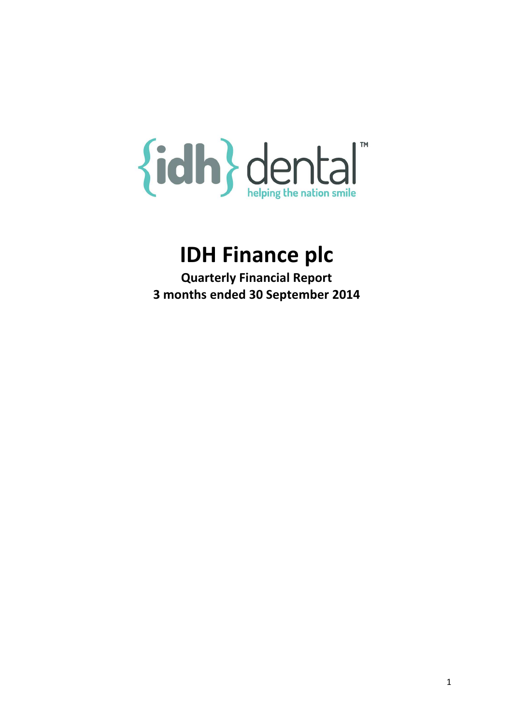# {idh} dental™

# IDH Finance plc

Quarterly Financial Report 3 months ended 30 September 2014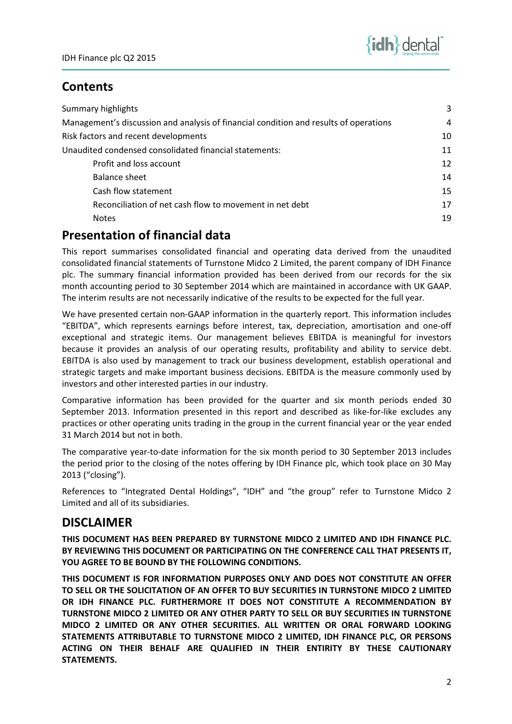# **Contents**

| Summary highlights                                                                    | 3  |
|---------------------------------------------------------------------------------------|----|
| Management's discussion and analysis of financial condition and results of operations | 4  |
| Risk factors and recent developments                                                  | 10 |
| Unaudited condensed consolidated financial statements:                                | 11 |
| Profit and loss account                                                               | 12 |
| Balance sheet                                                                         | 14 |
| Cash flow statement                                                                   | 15 |
| Reconciliation of net cash flow to movement in net debt                               | 17 |
| <b>Notes</b>                                                                          | 19 |

# Presentation of financial data

This report summarises consolidated financial and operating data derived from the unaudited consolidated financial statements of Turnstone Midco 2 Limited, the parent company of IDH Finance plc. The summary financial information provided has been derived from our records for the six month accounting period to 30 September 2014 which are maintained in accordance with UK GAAP. The interim results are not necessarily indicative of the results to be expected for the full year.

We have presented certain non-GAAP information in the quarterly report. This information includes "EBITDA", which represents earnings before interest, tax, depreciation, amortisation and one-off exceptional and strategic items. Our management believes EBITDA is meaningful for investors because it provides an analysis of our operating results, profitability and ability to service debt. EBITDA is also used by management to track our business development, establish operational and strategic targets and make important business decisions. EBITDA is the measure commonly used by investors and other interested parties in our industry.

Comparative information has been provided for the quarter and six month periods ended 30 September 2013. Information presented in this report and described as like-for-like excludes any practices or other operating units trading in the group in the current financial year or the year ended 31 March 2014 but not in both.

The comparative year-to-date information for the six month period to 30 September 2013 includes the period prior to the closing of the notes offering by IDH Finance plc, which took place on 30 May 2013 ("closing").

References to "Integrated Dental Holdings", "IDH" and "the group" refer to Turnstone Midco 2 Limited and all of its subsidiaries.

# DISCLAIMER

THIS DOCUMENT HAS BEEN PREPARED BY TURNSTONE MIDCO 2 LIMITED AND IDH FINANCE PLC. BY REVIEWING THIS DOCUMENT OR PARTICIPATING ON THE CONFERENCE CALL THAT PRESENTS IT, YOU AGREE TO BE BOUND BY THE FOLLOWING CONDITIONS.

THIS DOCUMENT IS FOR INFORMATION PURPOSES ONLY AND DOES NOT CONSTITUTE AN OFFER TO SELL OR THE SOLICITATION OF AN OFFER TO BUY SECURITIES IN TURNSTONE MIDCO 2 LIMITED OR IDH FINANCE PLC. FURTHERMORE IT DOES NOT CONSTITUTE A RECOMMENDATION BY TURNSTONE MIDCO 2 LIMITED OR ANY OTHER PARTY TO SELL OR BUY SECURITIES IN TURNSTONE MIDCO 2 LIMITED OR ANY OTHER SECURITIES. ALL WRITTEN OR ORAL FORWARD LOOKING STATEMENTS ATTRIBUTABLE TO TURNSTONE MIDCO 2 LIMITED, IDH FINANCE PLC, OR PERSONS ACTING ON THEIR BEHALF ARE QUALIFIED IN THEIR ENTIRITY BY THESE CAUTIONARY STATEMENTS.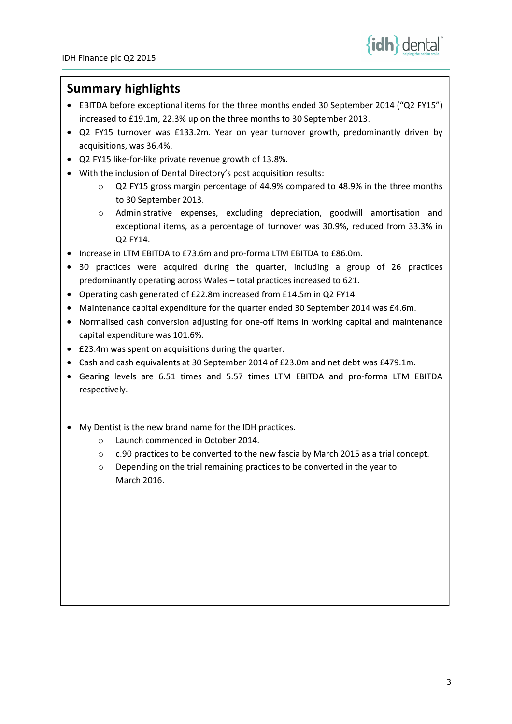

# Summary highlights

- EBITDA before exceptional items for the three months ended 30 September 2014 ("Q2 FY15") increased to £19.1m, 22.3% up on the three months to 30 September 2013.
- Q2 FY15 turnover was £133.2m. Year on year turnover growth, predominantly driven by acquisitions, was 36.4%.
- Q2 FY15 like-for-like private revenue growth of 13.8%.
- With the inclusion of Dental Directory's post acquisition results:
	- o Q2 FY15 gross margin percentage of 44.9% compared to 48.9% in the three months to 30 September 2013.
	- o Administrative expenses, excluding depreciation, goodwill amortisation and exceptional items, as a percentage of turnover was 30.9%, reduced from 33.3% in Q2 FY14.
- Increase in LTM EBITDA to £73.6m and pro-forma LTM EBITDA to £86.0m.
- 30 practices were acquired during the quarter, including a group of 26 practices predominantly operating across Wales – total practices increased to 621.
- Operating cash generated of £22.8m increased from £14.5m in Q2 FY14.
- Maintenance capital expenditure for the quarter ended 30 September 2014 was £4.6m.
- Normalised cash conversion adjusting for one-off items in working capital and maintenance capital expenditure was 101.6%.
- £23.4m was spent on acquisitions during the quarter.
- Cash and cash equivalents at 30 September 2014 of £23.0m and net debt was £479.1m.
- Gearing levels are 6.51 times and 5.57 times LTM EBITDA and pro-forma LTM EBITDA respectively.
- My Dentist is the new brand name for the IDH practices.
	- o Launch commenced in October 2014.
	- $\circ$  c.90 practices to be converted to the new fascia by March 2015 as a trial concept.
	- o Depending on the trial remaining practices to be converted in the year to March 2016.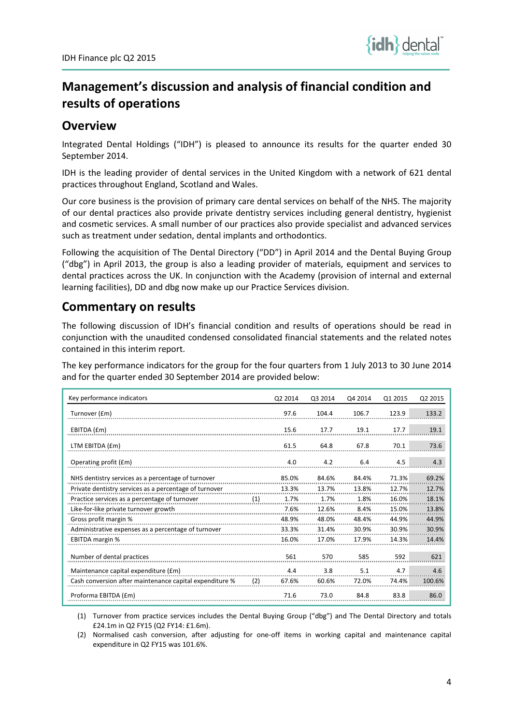

# Management's discussion and analysis of financial condition and results of operations

# **Overview**

Integrated Dental Holdings ("IDH") is pleased to announce its results for the quarter ended 30 September 2014.

IDH is the leading provider of dental services in the United Kingdom with a network of 621 dental practices throughout England, Scotland and Wales.

Our core business is the provision of primary care dental services on behalf of the NHS. The majority of our dental practices also provide private dentistry services including general dentistry, hygienist and cosmetic services. A small number of our practices also provide specialist and advanced services such as treatment under sedation, dental implants and orthodontics.

Following the acquisition of The Dental Directory ("DD") in April 2014 and the Dental Buying Group ("dbg") in April 2013, the group is also a leading provider of materials, equipment and services to dental practices across the UK. In conjunction with the Academy (provision of internal and external learning facilities), DD and dbg now make up our Practice Services division.

# Commentary on results

The following discussion of IDH's financial condition and results of operations should be read in conjunction with the unaudited condensed consolidated financial statements and the related notes contained in this interim report.

The key performance indicators for the group for the four quarters from 1 July 2013 to 30 June 2014 and for the quarter ended 30 September 2014 are provided below:

| Key performance indicators                              |     | Q2 2014 | Q3 2014 | Q4 2014 | Q1 2015 | Q2 2015 |
|---------------------------------------------------------|-----|---------|---------|---------|---------|---------|
| Turnover (£m)                                           |     | 97.6    | 104.4   | 106.7   | 123.9   | 133.2   |
| EBITDA (£m)                                             |     | 15.6    | 17.7    | 19.1    | 17.7    | 19.1    |
| LTM EBITDA (£m)                                         |     | 61.5    | 64.8    | 67.8    | 70.1    | 73.6    |
| Operating profit (£m)                                   |     | 4.0     | 4.2     | 6.4     | 4.5     | 4.3     |
| NHS dentistry services as a percentage of turnover      |     | 85.0%   | 84.6%   | 84.4%   | 71.3%   | 69.2%   |
| Private dentistry services as a percentage of turnover  |     | 13.3%   | 13.7%   | 13.8%   | 12.7%   | 12.7%   |
| Practice services as a percentage of turnover           | (1) | 1.7%    | 1.7%    | 1.8%    | 16.0%   | 18.1%   |
| Like-for-like private turnover growth                   |     | 7.6%    | 12.6%   | 8.4%    | 15.0%   | 13.8%   |
| Gross profit margin %                                   |     | 48.9%   | 48.0%   | 48.4%   | 44.9%   | 44.9%   |
| Administrative expenses as a percentage of turnover     |     | 33.3%   | 31.4%   | 30.9%   | 30.9%   | 30.9%   |
| <b>EBITDA</b> margin %                                  |     | 16.0%   | 17.0%   | 17.9%   | 14.3%   | 14.4%   |
| Number of dental practices                              |     | 561     | 570     | 585     | 592     | 621     |
| Maintenance capital expenditure (£m)                    |     | 4.4     | 3.8     | 5.1     | 4.7     | 4.6     |
| Cash conversion after maintenance capital expenditure % | (2) | 67.6%   | 60.6%   | 72.0%   | 74.4%   | 100.6%  |
| Proforma EBITDA (£m)                                    |     | 71.6    | 73.0    | 84.8    | 83.8    | 86.0    |

(1) Turnover from practice services includes the Dental Buying Group ("dbg") and The Dental Directory and totals £24.1m in Q2 FY15 (Q2 FY14: £1.6m).

(2) Normalised cash conversion, after adjusting for one-off items in working capital and maintenance capital expenditure in Q2 FY15 was 101.6%.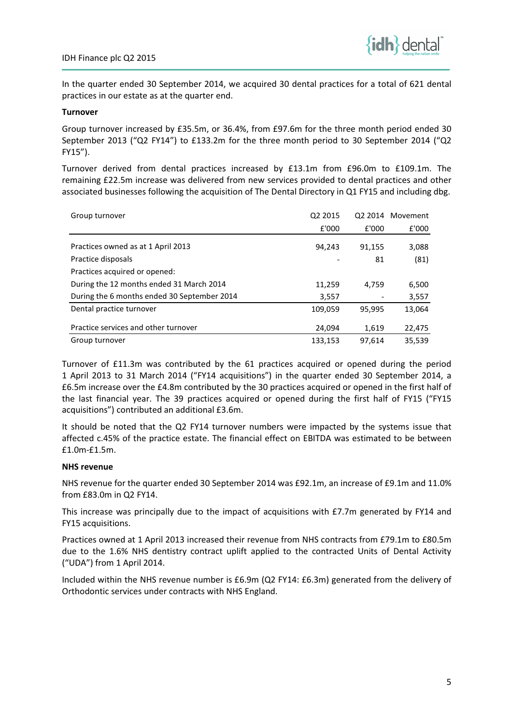

In the quarter ended 30 September 2014, we acquired 30 dental practices for a total of 621 dental practices in our estate as at the quarter end.

## Turnover

Group turnover increased by £35.5m, or 36.4%, from £97.6m for the three month period ended 30 September 2013 ("Q2 FY14") to £133.2m for the three month period to 30 September 2014 ("Q2 FY15").

Turnover derived from dental practices increased by £13.1m from £96.0m to £109.1m. The remaining £22.5m increase was delivered from new services provided to dental practices and other associated businesses following the acquisition of The Dental Directory in Q1 FY15 and including dbg.

| Group turnover                              | Q2 2015 |        | Q2 2014 Movement |
|---------------------------------------------|---------|--------|------------------|
|                                             | £'000   | £'000  | £'000            |
| Practices owned as at 1 April 2013          | 94.243  | 91,155 | 3,088            |
| Practice disposals                          |         | 81     | (81)             |
| Practices acquired or opened:               |         |        |                  |
| During the 12 months ended 31 March 2014    | 11,259  | 4.759  | 6,500            |
| During the 6 months ended 30 September 2014 | 3,557   |        | 3,557            |
| Dental practice turnover                    | 109,059 | 95,995 | 13,064           |
| Practice services and other turnover        | 24,094  | 1,619  | 22,475           |
| Group turnover                              | 133,153 | 97.614 | 35.539           |

Turnover of £11.3m was contributed by the 61 practices acquired or opened during the period 1 April 2013 to 31 March 2014 ("FY14 acquisitions") in the quarter ended 30 September 2014, a £6.5m increase over the £4.8m contributed by the 30 practices acquired or opened in the first half of the last financial year. The 39 practices acquired or opened during the first half of FY15 ("FY15 acquisitions") contributed an additional £3.6m.

It should be noted that the Q2 FY14 turnover numbers were impacted by the systems issue that affected c.45% of the practice estate. The financial effect on EBITDA was estimated to be between £1.0m-£1.5m.

## NHS revenue

NHS revenue for the quarter ended 30 September 2014 was £92.1m, an increase of £9.1m and 11.0% from £83.0m in Q2 FY14.

This increase was principally due to the impact of acquisitions with £7.7m generated by FY14 and FY15 acquisitions.

Practices owned at 1 April 2013 increased their revenue from NHS contracts from £79.1m to £80.5m due to the 1.6% NHS dentistry contract uplift applied to the contracted Units of Dental Activity ("UDA") from 1 April 2014.

Included within the NHS revenue number is £6.9m (Q2 FY14: £6.3m) generated from the delivery of Orthodontic services under contracts with NHS England.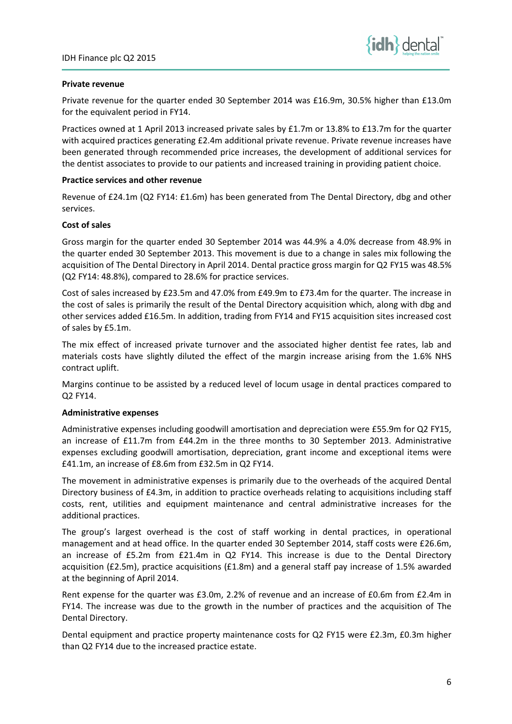

## Private revenue

Private revenue for the quarter ended 30 September 2014 was £16.9m, 30.5% higher than £13.0m for the equivalent period in FY14.

Practices owned at 1 April 2013 increased private sales by £1.7m or 13.8% to £13.7m for the quarter with acquired practices generating £2.4m additional private revenue. Private revenue increases have been generated through recommended price increases, the development of additional services for the dentist associates to provide to our patients and increased training in providing patient choice.

## Practice services and other revenue

Revenue of £24.1m (Q2 FY14: £1.6m) has been generated from The Dental Directory, dbg and other services.

## Cost of sales

Gross margin for the quarter ended 30 September 2014 was 44.9% a 4.0% decrease from 48.9% in the quarter ended 30 September 2013. This movement is due to a change in sales mix following the acquisition of The Dental Directory in April 2014. Dental practice gross margin for Q2 FY15 was 48.5% (Q2 FY14: 48.8%), compared to 28.6% for practice services.

Cost of sales increased by £23.5m and 47.0% from £49.9m to £73.4m for the quarter. The increase in the cost of sales is primarily the result of the Dental Directory acquisition which, along with dbg and other services added £16.5m. In addition, trading from FY14 and FY15 acquisition sites increased cost of sales by £5.1m.

The mix effect of increased private turnover and the associated higher dentist fee rates, lab and materials costs have slightly diluted the effect of the margin increase arising from the 1.6% NHS contract uplift.

Margins continue to be assisted by a reduced level of locum usage in dental practices compared to Q2 FY14.

## Administrative expenses

Administrative expenses including goodwill amortisation and depreciation were £55.9m for Q2 FY15, an increase of £11.7m from £44.2m in the three months to 30 September 2013. Administrative expenses excluding goodwill amortisation, depreciation, grant income and exceptional items were £41.1m, an increase of £8.6m from £32.5m in Q2 FY14.

The movement in administrative expenses is primarily due to the overheads of the acquired Dental Directory business of £4.3m, in addition to practice overheads relating to acquisitions including staff costs, rent, utilities and equipment maintenance and central administrative increases for the additional practices.

The group's largest overhead is the cost of staff working in dental practices, in operational management and at head office. In the quarter ended 30 September 2014, staff costs were £26.6m, an increase of £5.2m from £21.4m in Q2 FY14. This increase is due to the Dental Directory acquisition (£2.5m), practice acquisitions (£1.8m) and a general staff pay increase of 1.5% awarded at the beginning of April 2014.

Rent expense for the quarter was £3.0m, 2.2% of revenue and an increase of £0.6m from £2.4m in FY14. The increase was due to the growth in the number of practices and the acquisition of The Dental Directory.

Dental equipment and practice property maintenance costs for Q2 FY15 were £2.3m, £0.3m higher than Q2 FY14 due to the increased practice estate.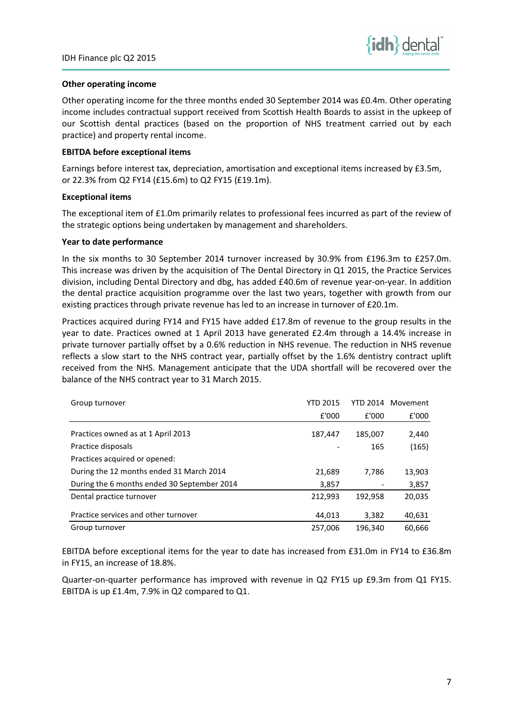

## Other operating income

Other operating income for the three months ended 30 September 2014 was £0.4m. Other operating income includes contractual support received from Scottish Health Boards to assist in the upkeep of our Scottish dental practices (based on the proportion of NHS treatment carried out by each practice) and property rental income.

## EBITDA before exceptional items

Earnings before interest tax, depreciation, amortisation and exceptional items increased by £3.5m, or 22.3% from Q2 FY14 (£15.6m) to Q2 FY15 (£19.1m).

## Exceptional items

The exceptional item of £1.0m primarily relates to professional fees incurred as part of the review of the strategic options being undertaken by management and shareholders.

## Year to date performance

In the six months to 30 September 2014 turnover increased by 30.9% from £196.3m to £257.0m. This increase was driven by the acquisition of The Dental Directory in Q1 2015, the Practice Services division, including Dental Directory and dbg, has added £40.6m of revenue year-on-year. In addition the dental practice acquisition programme over the last two years, together with growth from our existing practices through private revenue has led to an increase in turnover of £20.1m.

Practices acquired during FY14 and FY15 have added £17.8m of revenue to the group results in the year to date. Practices owned at 1 April 2013 have generated £2.4m through a 14.4% increase in private turnover partially offset by a 0.6% reduction in NHS revenue. The reduction in NHS revenue reflects a slow start to the NHS contract year, partially offset by the 1.6% dentistry contract uplift received from the NHS. Management anticipate that the UDA shortfall will be recovered over the balance of the NHS contract year to 31 March 2015.

| Group turnover                              | <b>YTD 2015</b> |         | YTD 2014 Movement |
|---------------------------------------------|-----------------|---------|-------------------|
|                                             | £'000           | £'000   | £'000             |
| Practices owned as at 1 April 2013          | 187,447         | 185.007 | 2,440             |
| Practice disposals                          |                 | 165     | (165)             |
| Practices acquired or opened:               |                 |         |                   |
| During the 12 months ended 31 March 2014    | 21,689          | 7,786   | 13,903            |
| During the 6 months ended 30 September 2014 | 3,857           |         | 3,857             |
| Dental practice turnover                    | 212,993         | 192,958 | 20,035            |
| Practice services and other turnover        | 44,013          | 3,382   | 40,631            |
| Group turnover                              | 257,006         | 196,340 | 60.666            |

EBITDA before exceptional items for the year to date has increased from £31.0m in FY14 to £36.8m in FY15, an increase of 18.8%.

Quarter-on-quarter performance has improved with revenue in Q2 FY15 up £9.3m from Q1 FY15. EBITDA is up £1.4m, 7.9% in Q2 compared to Q1.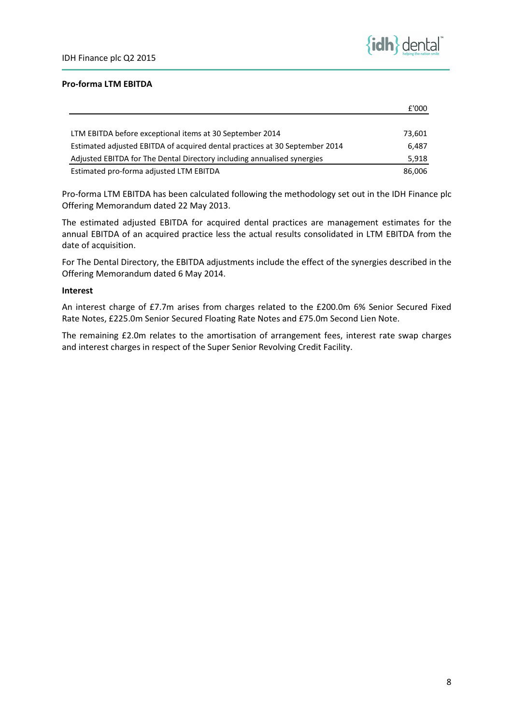

£'000

## Pro-forma LTM EBITDA

|                                                                             | I UUU  |
|-----------------------------------------------------------------------------|--------|
|                                                                             |        |
| LTM EBITDA before exceptional items at 30 September 2014                    | 73,601 |
| Estimated adjusted EBITDA of acquired dental practices at 30 September 2014 | 6.487  |
| Adjusted EBITDA for The Dental Directory including annualised synergies     | 5,918  |
| Estimated pro-forma adjusted LTM EBITDA                                     | 86.006 |

Pro-forma LTM EBITDA has been calculated following the methodology set out in the IDH Finance plc Offering Memorandum dated 22 May 2013.

The estimated adjusted EBITDA for acquired dental practices are management estimates for the annual EBITDA of an acquired practice less the actual results consolidated in LTM EBITDA from the date of acquisition.

For The Dental Directory, the EBITDA adjustments include the effect of the synergies described in the Offering Memorandum dated 6 May 2014.

## Interest

An interest charge of £7.7m arises from charges related to the £200.0m 6% Senior Secured Fixed Rate Notes, £225.0m Senior Secured Floating Rate Notes and £75.0m Second Lien Note.

The remaining £2.0m relates to the amortisation of arrangement fees, interest rate swap charges and interest charges in respect of the Super Senior Revolving Credit Facility.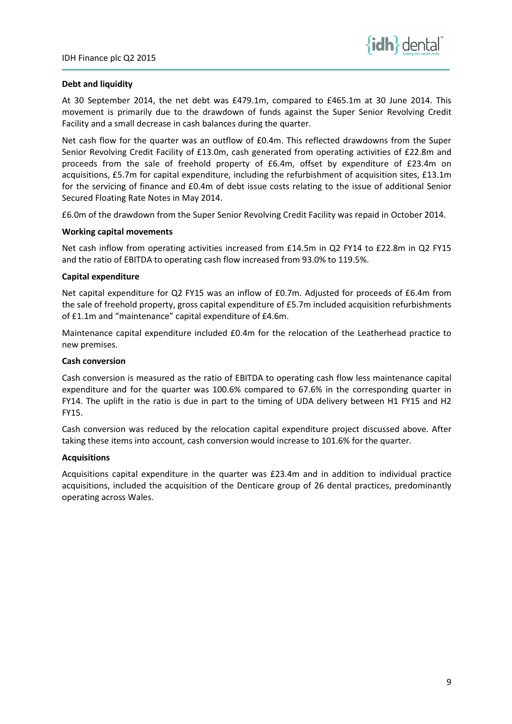

## Debt and liquidity

At 30 September 2014, the net debt was £479.1m, compared to £465.1m at 30 June 2014. This movement is primarily due to the drawdown of funds against the Super Senior Revolving Credit Facility and a small decrease in cash balances during the quarter.

Net cash flow for the quarter was an outflow of £0.4m. This reflected drawdowns from the Super Senior Revolving Credit Facility of £13.0m, cash generated from operating activities of £22.8m and proceeds from the sale of freehold property of £6.4m, offset by expenditure of £23.4m on acquisitions, £5.7m for capital expenditure, including the refurbishment of acquisition sites, £13.1m for the servicing of finance and £0.4m of debt issue costs relating to the issue of additional Senior Secured Floating Rate Notes in May 2014.

£6.0m of the drawdown from the Super Senior Revolving Credit Facility was repaid in October 2014.

## Working capital movements

Net cash inflow from operating activities increased from £14.5m in Q2 FY14 to £22.8m in Q2 FY15 and the ratio of EBITDA to operating cash flow increased from 93.0% to 119.5%.

## Capital expenditure

Net capital expenditure for Q2 FY15 was an inflow of £0.7m. Adjusted for proceeds of £6.4m from the sale of freehold property, gross capital expenditure of £5.7m included acquisition refurbishments of £1.1m and "maintenance" capital expenditure of £4.6m.

Maintenance capital expenditure included £0.4m for the relocation of the Leatherhead practice to new premises.

## Cash conversion

Cash conversion is measured as the ratio of EBITDA to operating cash flow less maintenance capital expenditure and for the quarter was 100.6% compared to 67.6% in the corresponding quarter in FY14. The uplift in the ratio is due in part to the timing of UDA delivery between H1 FY15 and H2 FY15.

Cash conversion was reduced by the relocation capital expenditure project discussed above. After taking these items into account, cash conversion would increase to 101.6% for the quarter.

## **Acquisitions**

Acquisitions capital expenditure in the quarter was £23.4m and in addition to individual practice acquisitions, included the acquisition of the Denticare group of 26 dental practices, predominantly operating across Wales.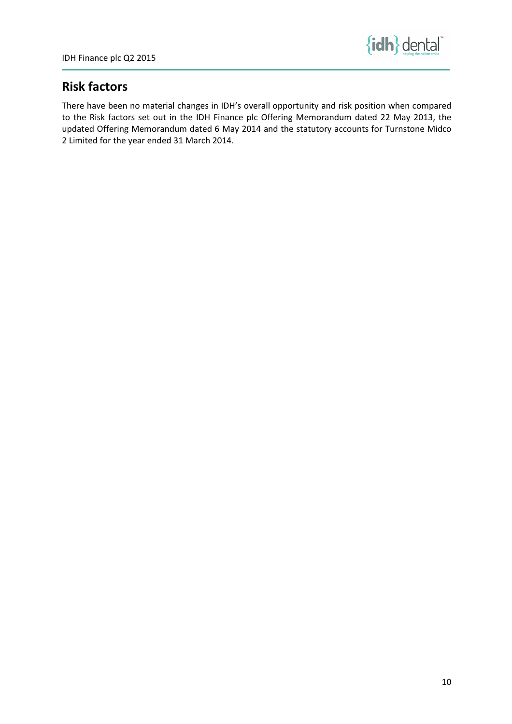

# Risk factors

There have been no material changes in IDH's overall opportunity and risk position when compared to the Risk factors set out in the IDH Finance plc Offering Memorandum dated 22 May 2013, the updated Offering Memorandum dated 6 May 2014 and the statutory accounts for Turnstone Midco 2 Limited for the year ended 31 March 2014.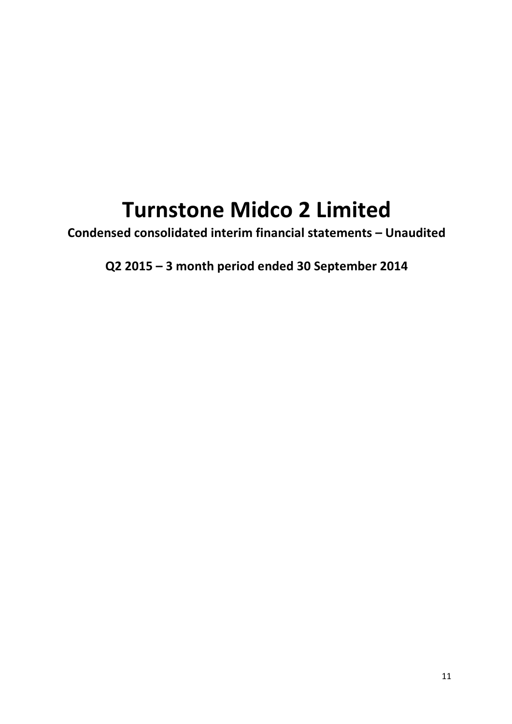# Turnstone Midco 2 Limited

Condensed consolidated interim financial statements – Unaudited

Q2 2015 – 3 month period ended 30 September 2014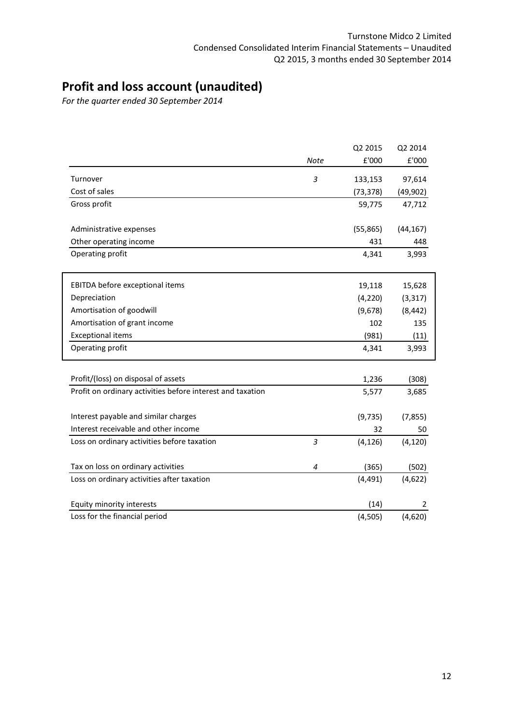# Profit and loss account (unaudited)

For the quarter ended 30 September 2014

|                                                            |                          | Q2 2015   | Q2 2014   |
|------------------------------------------------------------|--------------------------|-----------|-----------|
|                                                            | <b>Note</b>              | £'000     | £'000     |
| Turnover                                                   | 3                        | 133,153   | 97,614    |
| Cost of sales                                              |                          | (73,378)  | (49, 902) |
| Gross profit                                               |                          | 59,775    | 47,712    |
| Administrative expenses                                    |                          | (55, 865) | (44, 167) |
| Other operating income                                     |                          | 431       | 448       |
| Operating profit                                           |                          | 4,341     | 3,993     |
| EBITDA before exceptional items                            |                          | 19,118    | 15,628    |
| Depreciation                                               |                          | (4, 220)  | (3, 317)  |
| Amortisation of goodwill                                   |                          | (9,678)   | (8, 442)  |
| Amortisation of grant income                               |                          | 102       | 135       |
| <b>Exceptional items</b>                                   |                          | (981)     | (11)      |
| Operating profit                                           |                          | 4,341     | 3,993     |
| Profit/(loss) on disposal of assets                        |                          | 1,236     | (308)     |
| Profit on ordinary activities before interest and taxation |                          | 5,577     | 3,685     |
| Interest payable and similar charges                       |                          | (9, 735)  | (7, 855)  |
| Interest receivable and other income                       |                          | 32        | 50        |
| Loss on ordinary activities before taxation                | $\overline{3}$           | (4, 126)  | (4, 120)  |
| Tax on loss on ordinary activities                         | $\overline{\mathcal{A}}$ | (365)     | (502)     |
| Loss on ordinary activities after taxation                 |                          | (4, 491)  | (4,622)   |
| Equity minority interests                                  |                          | (14)      | 2         |
| Loss for the financial period                              |                          | (4, 505)  | (4,620)   |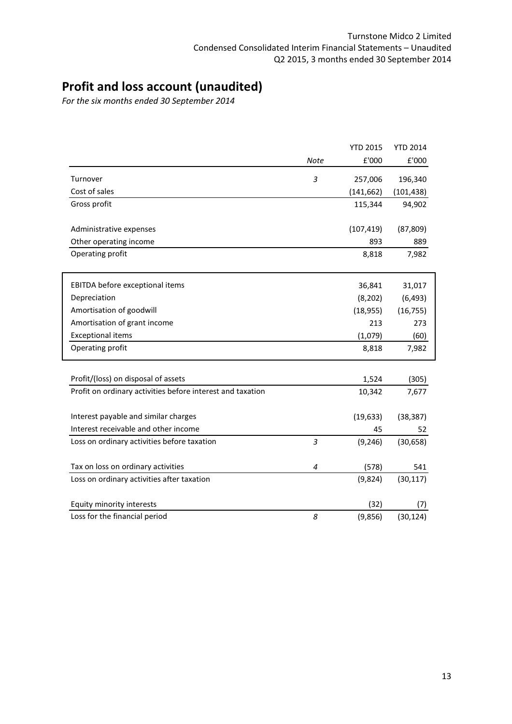# Profit and loss account (unaudited)

For the six months ended 30 September 2014

|                                                            |                          | <b>YTD 2015</b>         | <b>YTD 2014</b>                      |
|------------------------------------------------------------|--------------------------|-------------------------|--------------------------------------|
|                                                            | <b>Note</b>              | $\pmb{\mathsf{E}}$ '000 | $\ensuremath{\mathsf{E}}\xspace'000$ |
| Turnover                                                   | 3                        | 257,006                 | 196,340                              |
| Cost of sales                                              |                          | (141, 662)              | (101, 438)                           |
| Gross profit                                               |                          | 115,344                 | 94,902                               |
| Administrative expenses                                    |                          | (107, 419)              | (87, 809)                            |
| Other operating income                                     |                          | 893                     | 889                                  |
| Operating profit                                           |                          | 8,818                   | 7,982                                |
| EBITDA before exceptional items                            |                          | 36,841                  | 31,017                               |
| Depreciation                                               |                          | (8, 202)                | (6, 493)                             |
| Amortisation of goodwill                                   |                          | (18, 955)               | (16, 755)                            |
| Amortisation of grant income                               |                          | 213                     | 273                                  |
| <b>Exceptional items</b>                                   |                          | (1,079)                 | (60)                                 |
| Operating profit                                           |                          | 8,818                   | 7,982                                |
| Profit/(loss) on disposal of assets                        |                          |                         |                                      |
| Profit on ordinary activities before interest and taxation |                          | 1,524<br>10,342         | (305)<br>7,677                       |
|                                                            |                          |                         |                                      |
| Interest payable and similar charges                       |                          | (19, 633)               | (38, 387)                            |
| Interest receivable and other income                       |                          | 45                      | 52                                   |
| Loss on ordinary activities before taxation                | $\overline{3}$           | (9, 246)                | (30, 658)                            |
| Tax on loss on ordinary activities                         | $\overline{\mathcal{A}}$ | (578)                   | 541                                  |
| Loss on ordinary activities after taxation                 |                          | (9,824)                 | (30, 117)                            |
| Equity minority interests                                  |                          | (32)                    | (7)                                  |
| Loss for the financial period                              | 8                        | (9,856)                 | (30, 124)                            |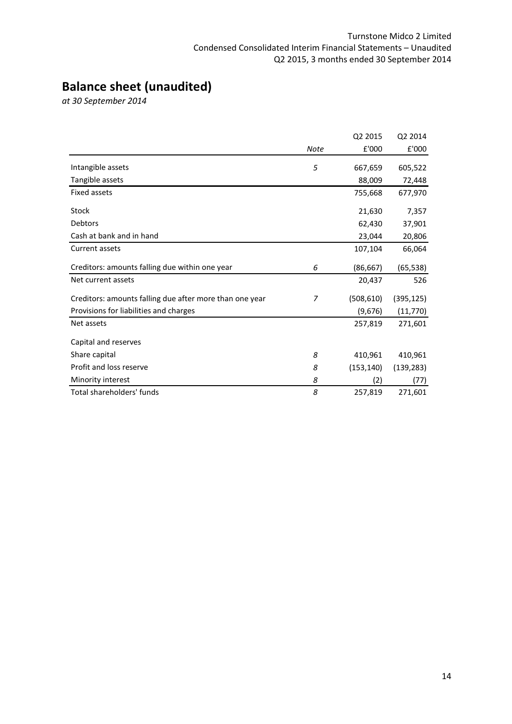# Balance sheet (unaudited)

at 30 September 2014

|                                                         |                | Q2 2015    | Q2 2014    |
|---------------------------------------------------------|----------------|------------|------------|
|                                                         | Note           | £'000      | £'000      |
| Intangible assets                                       | 5              | 667,659    | 605,522    |
| Tangible assets                                         |                | 88,009     | 72,448     |
| <b>Fixed assets</b>                                     |                | 755,668    | 677,970    |
| Stock                                                   |                | 21,630     | 7,357      |
| <b>Debtors</b>                                          |                | 62,430     | 37,901     |
| Cash at bank and in hand                                |                | 23,044     | 20,806     |
| Current assets                                          |                | 107,104    | 66,064     |
| Creditors: amounts falling due within one year          | 6              | (86, 667)  | (65, 538)  |
| Net current assets                                      |                | 20,437     | 526        |
| Creditors: amounts falling due after more than one year | $\overline{z}$ | (508, 610) | (395, 125) |
| Provisions for liabilities and charges                  |                | (9,676)    | (11, 770)  |
| Net assets                                              |                | 257,819    | 271,601    |
| Capital and reserves                                    |                |            |            |
| Share capital                                           | 8              | 410,961    | 410,961    |
| Profit and loss reserve                                 | 8              | (153, 140) | (139, 283) |
| Minority interest                                       | 8              | (2)        | (77)       |
| Total shareholders' funds                               | 8              | 257,819    | 271,601    |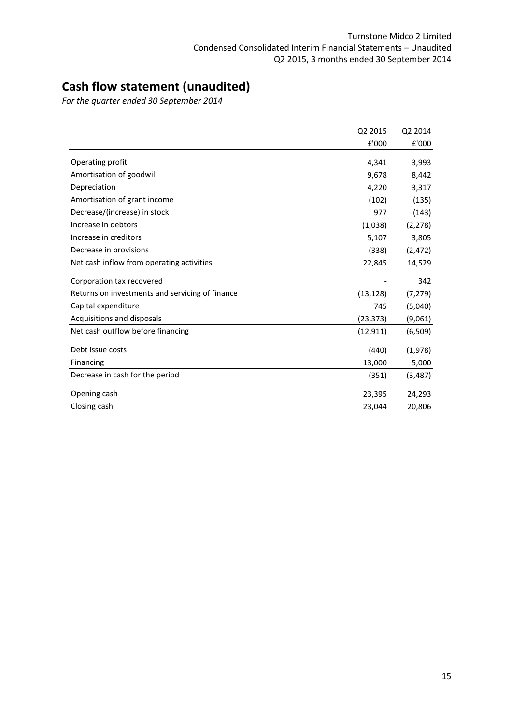# Cash flow statement (unaudited)

For the quarter ended 30 September 2014

|                                                 | Q2 2015   | Q2 2014  |
|-------------------------------------------------|-----------|----------|
|                                                 | £'000     | £'000    |
| Operating profit                                | 4,341     | 3,993    |
| Amortisation of goodwill                        | 9,678     | 8,442    |
| Depreciation                                    | 4,220     | 3,317    |
| Amortisation of grant income                    | (102)     | (135)    |
| Decrease/(increase) in stock                    | 977       | (143)    |
| Increase in debtors                             | (1,038)   | (2, 278) |
| Increase in creditors                           | 5,107     | 3,805    |
| Decrease in provisions                          | (338)     | (2, 472) |
| Net cash inflow from operating activities       | 22,845    | 14,529   |
| Corporation tax recovered                       |           | 342      |
| Returns on investments and servicing of finance | (13, 128) | (7, 279) |
| Capital expenditure                             | 745       | (5,040)  |
| Acquisitions and disposals                      | (23, 373) | (9,061)  |
| Net cash outflow before financing               | (12, 911) | (6, 509) |
| Debt issue costs                                | (440)     | (1,978)  |
| Financing                                       | 13,000    | 5,000    |
| Decrease in cash for the period                 | (351)     | (3, 487) |
| Opening cash                                    | 23,395    | 24,293   |
| Closing cash                                    | 23,044    | 20,806   |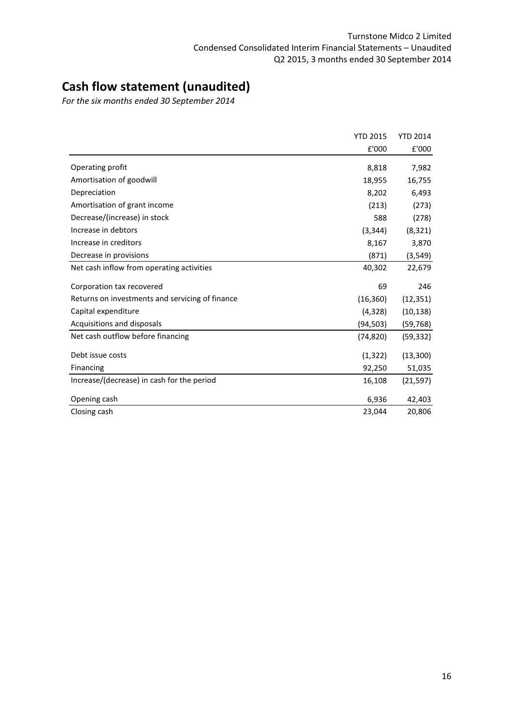# Cash flow statement (unaudited)

For the six months ended 30 September 2014

|                                                 | <b>YTD 2015</b> | <b>YTD 2014</b> |
|-------------------------------------------------|-----------------|-----------------|
|                                                 | £'000           | £'000           |
| Operating profit                                | 8,818           | 7,982           |
| Amortisation of goodwill                        | 18,955          | 16,755          |
| Depreciation                                    | 8,202           | 6,493           |
| Amortisation of grant income                    | (213)           | (273)           |
| Decrease/(increase) in stock                    | 588             | (278)           |
| Increase in debtors                             | (3, 344)        | (8, 321)        |
| Increase in creditors                           | 8,167           | 3,870           |
| Decrease in provisions                          | (871)           | (3, 549)        |
| Net cash inflow from operating activities       | 40,302          | 22,679          |
| Corporation tax recovered                       | 69              | 246             |
| Returns on investments and servicing of finance | (16, 360)       | (12, 351)       |
| Capital expenditure                             | (4,328)         | (10, 138)       |
| Acquisitions and disposals                      | (94,503)        | (59,768)        |
| Net cash outflow before financing               | (74, 820)       | (59, 332)       |
| Debt issue costs                                | (1, 322)        | (13,300)        |
| Financing                                       | 92,250          | 51,035          |
| Increase/(decrease) in cash for the period      | 16,108          | (21, 597)       |
| Opening cash                                    | 6,936           | 42,403          |
| Closing cash                                    | 23,044          | 20,806          |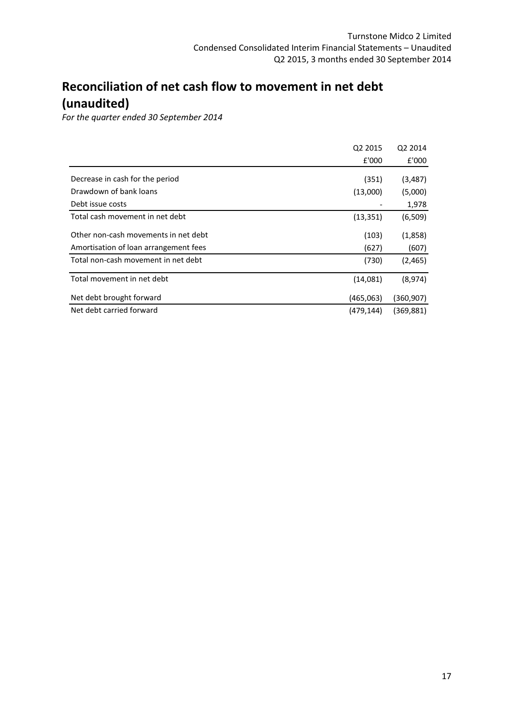# Reconciliation of net cash flow to movement in net debt (unaudited)

For the quarter ended 30 September 2014

|                                       | Q <sub>2</sub> 2015 | Q <sub>2</sub> 2014 |
|---------------------------------------|---------------------|---------------------|
|                                       | £'000               | £'000               |
| Decrease in cash for the period       | (351)               | (3, 487)            |
| Drawdown of bank loans                | (13,000)            | (5,000)             |
| Debt issue costs                      |                     | 1,978               |
| Total cash movement in net debt       | (13, 351)           | (6,509)             |
| Other non-cash movements in net debt  | (103)               | (1,858)             |
| Amortisation of loan arrangement fees | (627)               | (607)               |
| Total non-cash movement in net debt   | (730)               | (2, 465)            |
| Total movement in net debt            | (14,081)            | (8,974)             |
| Net debt brought forward              | (465,063)           | (360,907)           |
| Net debt carried forward              | (479.144)           | (369,881)           |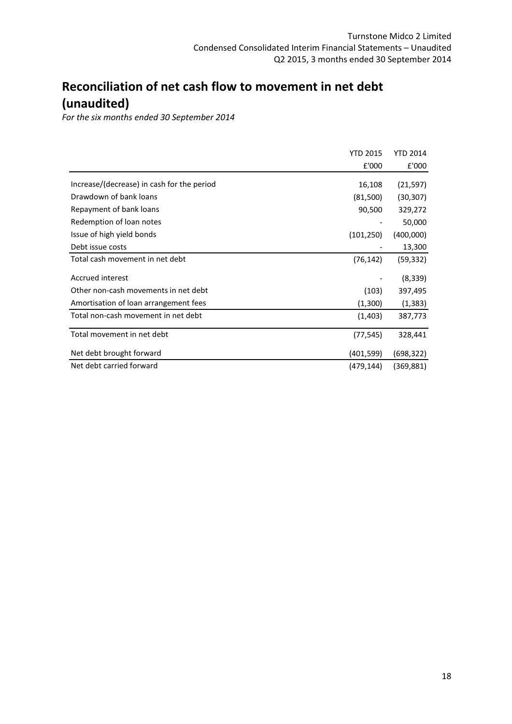# Reconciliation of net cash flow to movement in net debt (unaudited)

For the six months ended 30 September 2014

|                                            | <b>YTD 2015</b> | <b>YTD 2014</b> |
|--------------------------------------------|-----------------|-----------------|
|                                            | £'000           | £'000           |
| Increase/(decrease) in cash for the period | 16,108          | (21, 597)       |
| Drawdown of bank loans                     | (81,500)        | (30,307)        |
| Repayment of bank loans                    | 90,500          | 329,272         |
| Redemption of loan notes                   |                 | 50,000          |
| Issue of high yield bonds                  | (101, 250)      | (400,000)       |
| Debt issue costs                           |                 | 13,300          |
| Total cash movement in net debt            | (76, 142)       | (59,332)        |
| Accrued interest                           |                 | (8, 339)        |
| Other non-cash movements in net debt       | (103)           | 397,495         |
| Amortisation of loan arrangement fees      | (1,300)         | (1, 383)        |
| Total non-cash movement in net debt        | (1,403)         | 387,773         |
| Total movement in net debt                 | (77, 545)       | 328,441         |
| Net debt brought forward                   | (401, 599)      | (698,322)       |
| Net debt carried forward                   | (479,144)       | (369,881)       |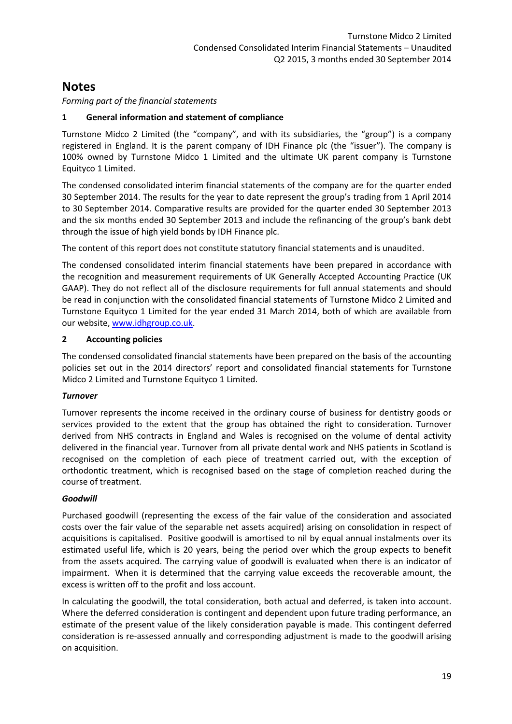Forming part of the financial statements

## 1 General information and statement of compliance

Turnstone Midco 2 Limited (the "company", and with its subsidiaries, the "group") is a company registered in England. It is the parent company of IDH Finance plc (the "issuer"). The company is 100% owned by Turnstone Midco 1 Limited and the ultimate UK parent company is Turnstone Equityco 1 Limited.

The condensed consolidated interim financial statements of the company are for the quarter ended 30 September 2014. The results for the year to date represent the group's trading from 1 April 2014 to 30 September 2014. Comparative results are provided for the quarter ended 30 September 2013 and the six months ended 30 September 2013 and include the refinancing of the group's bank debt through the issue of high yield bonds by IDH Finance plc.

The content of this report does not constitute statutory financial statements and is unaudited.

The condensed consolidated interim financial statements have been prepared in accordance with the recognition and measurement requirements of UK Generally Accepted Accounting Practice (UK GAAP). They do not reflect all of the disclosure requirements for full annual statements and should be read in conjunction with the consolidated financial statements of Turnstone Midco 2 Limited and Turnstone Equityco 1 Limited for the year ended 31 March 2014, both of which are available from our website, www.idhgroup.co.uk.

## 2 Accounting policies

The condensed consolidated financial statements have been prepared on the basis of the accounting policies set out in the 2014 directors' report and consolidated financial statements for Turnstone Midco 2 Limited and Turnstone Equityco 1 Limited.

## Turnover

Turnover represents the income received in the ordinary course of business for dentistry goods or services provided to the extent that the group has obtained the right to consideration. Turnover derived from NHS contracts in England and Wales is recognised on the volume of dental activity delivered in the financial year. Turnover from all private dental work and NHS patients in Scotland is recognised on the completion of each piece of treatment carried out, with the exception of orthodontic treatment, which is recognised based on the stage of completion reached during the course of treatment.

## Goodwill

Purchased goodwill (representing the excess of the fair value of the consideration and associated costs over the fair value of the separable net assets acquired) arising on consolidation in respect of acquisitions is capitalised. Positive goodwill is amortised to nil by equal annual instalments over its estimated useful life, which is 20 years, being the period over which the group expects to benefit from the assets acquired. The carrying value of goodwill is evaluated when there is an indicator of impairment. When it is determined that the carrying value exceeds the recoverable amount, the excess is written off to the profit and loss account.

In calculating the goodwill, the total consideration, both actual and deferred, is taken into account. Where the deferred consideration is contingent and dependent upon future trading performance, an estimate of the present value of the likely consideration payable is made. This contingent deferred consideration is re-assessed annually and corresponding adjustment is made to the goodwill arising on acquisition.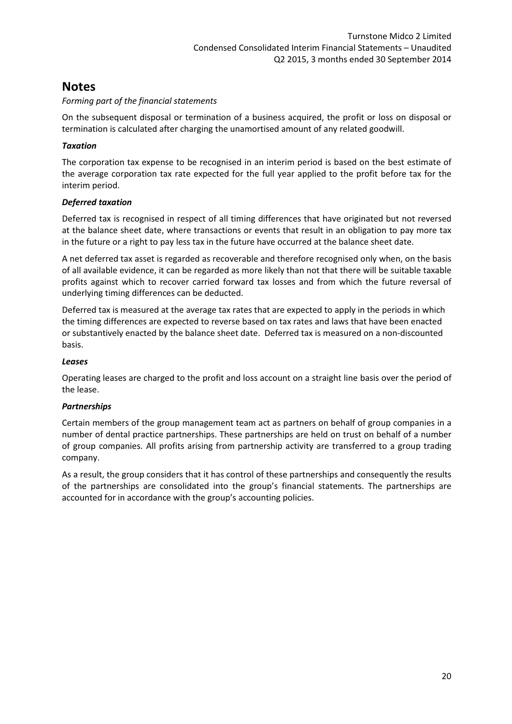## Forming part of the financial statements

On the subsequent disposal or termination of a business acquired, the profit or loss on disposal or termination is calculated after charging the unamortised amount of any related goodwill.

## **Taxation**

The corporation tax expense to be recognised in an interim period is based on the best estimate of the average corporation tax rate expected for the full year applied to the profit before tax for the interim period.

## Deferred taxation

Deferred tax is recognised in respect of all timing differences that have originated but not reversed at the balance sheet date, where transactions or events that result in an obligation to pay more tax in the future or a right to pay less tax in the future have occurred at the balance sheet date.

A net deferred tax asset is regarded as recoverable and therefore recognised only when, on the basis of all available evidence, it can be regarded as more likely than not that there will be suitable taxable profits against which to recover carried forward tax losses and from which the future reversal of underlying timing differences can be deducted.

Deferred tax is measured at the average tax rates that are expected to apply in the periods in which the timing differences are expected to reverse based on tax rates and laws that have been enacted or substantively enacted by the balance sheet date. Deferred tax is measured on a non-discounted basis.

## Leases

Operating leases are charged to the profit and loss account on a straight line basis over the period of the lease.

## Partnerships

Certain members of the group management team act as partners on behalf of group companies in a number of dental practice partnerships. These partnerships are held on trust on behalf of a number of group companies. All profits arising from partnership activity are transferred to a group trading company.

As a result, the group considers that it has control of these partnerships and consequently the results of the partnerships are consolidated into the group's financial statements. The partnerships are accounted for in accordance with the group's accounting policies.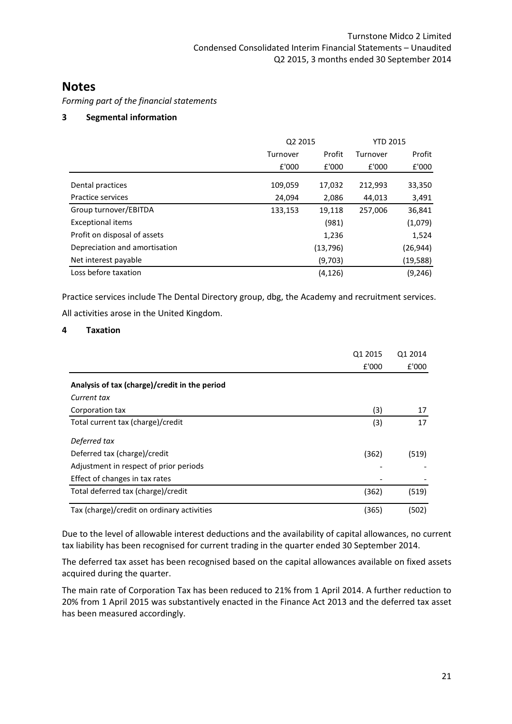Forming part of the financial statements

## 3 Segmental information

|                               | Q2 2015  |           | <b>YTD 2015</b> |           |  |
|-------------------------------|----------|-----------|-----------------|-----------|--|
|                               | Turnover | Profit    | Turnover        | Profit    |  |
|                               | £'000    | £'000     | £'000           | £'000     |  |
| Dental practices              | 109,059  | 17,032    | 212,993         | 33,350    |  |
| Practice services             | 24,094   | 2,086     | 44,013          | 3,491     |  |
| Group turnover/EBITDA         | 133,153  | 19,118    | 257,006         | 36,841    |  |
| <b>Exceptional items</b>      |          | (981)     |                 | (1,079)   |  |
| Profit on disposal of assets  |          | 1,236     |                 | 1,524     |  |
| Depreciation and amortisation |          | (13, 796) |                 | (26,944)  |  |
| Net interest payable          |          | (9,703)   |                 | (19, 588) |  |
| Loss before taxation          |          | (4, 126)  |                 | (9,246)   |  |

Practice services include The Dental Directory group, dbg, the Academy and recruitment services. All activities arose in the United Kingdom.

## 4 Taxation

|                                               | Q1 2015<br>£'000 | Q1 2014<br>£'000 |
|-----------------------------------------------|------------------|------------------|
| Analysis of tax (charge)/credit in the period |                  |                  |
| Current tax                                   |                  |                  |
| Corporation tax                               | (3)              | 17               |
| Total current tax (charge)/credit             | (3)              | 17               |
| Deferred tax                                  |                  |                  |
| Deferred tax (charge)/credit                  | (362)            | (519)            |
| Adjustment in respect of prior periods        |                  |                  |
| Effect of changes in tax rates                |                  |                  |
| Total deferred tax (charge)/credit            | (362)            | (519)            |
| Tax (charge)/credit on ordinary activities    | (365)            | (502)            |

Due to the level of allowable interest deductions and the availability of capital allowances, no current tax liability has been recognised for current trading in the quarter ended 30 September 2014.

The deferred tax asset has been recognised based on the capital allowances available on fixed assets acquired during the quarter.

The main rate of Corporation Tax has been reduced to 21% from 1 April 2014. A further reduction to 20% from 1 April 2015 was substantively enacted in the Finance Act 2013 and the deferred tax asset has been measured accordingly.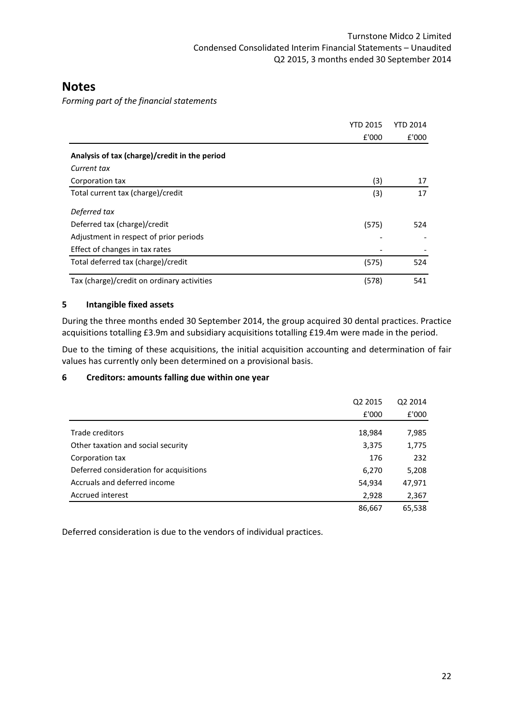Forming part of the financial statements

|                                               | <b>YTD 2015</b> | YTD 2014 |
|-----------------------------------------------|-----------------|----------|
|                                               | £'000           | £'000    |
| Analysis of tax (charge)/credit in the period |                 |          |
| Current tax                                   |                 |          |
| Corporation tax                               | (3)             | 17       |
| Total current tax (charge)/credit             | (3)             | 17       |
| Deferred tax                                  |                 |          |
| Deferred tax (charge)/credit                  | (575)           | 524      |
| Adjustment in respect of prior periods        |                 |          |
| Effect of changes in tax rates                |                 |          |
| Total deferred tax (charge)/credit            | (575)           | 524      |
| Tax (charge)/credit on ordinary activities    | (578)           | 541      |

## 5 Intangible fixed assets

During the three months ended 30 September 2014, the group acquired 30 dental practices. Practice acquisitions totalling £3.9m and subsidiary acquisitions totalling £19.4m were made in the period.

Due to the timing of these acquisitions, the initial acquisition accounting and determination of fair values has currently only been determined on a provisional basis.

## 6 Creditors: amounts falling due within one year

|                                         | Q2 2015 | Q2 2014 |
|-----------------------------------------|---------|---------|
|                                         | £'000   | £'000   |
| Trade creditors                         |         |         |
|                                         | 18,984  | 7,985   |
| Other taxation and social security      | 3,375   | 1,775   |
| Corporation tax                         | 176     | 232     |
| Deferred consideration for acquisitions | 6,270   | 5,208   |
| Accruals and deferred income            | 54,934  | 47,971  |
| Accrued interest                        | 2,928   | 2,367   |
|                                         | 86,667  | 65,538  |

Deferred consideration is due to the vendors of individual practices.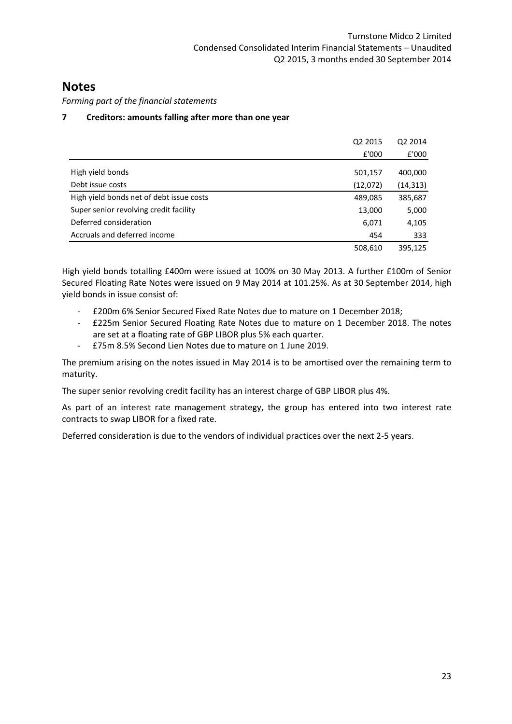Forming part of the financial statements

## 7 Creditors: amounts falling after more than one year

|                                          | Q2 2015  | Q2 2014   |
|------------------------------------------|----------|-----------|
|                                          | £'000    | £'000     |
| High yield bonds                         | 501,157  | 400,000   |
| Debt issue costs                         | (12,072) | (14, 313) |
| High yield bonds net of debt issue costs | 489,085  | 385,687   |
| Super senior revolving credit facility   | 13,000   | 5,000     |
| Deferred consideration                   | 6,071    | 4,105     |
| Accruals and deferred income             | 454      | 333       |
|                                          | 508,610  | 395,125   |

High yield bonds totalling £400m were issued at 100% on 30 May 2013. A further £100m of Senior Secured Floating Rate Notes were issued on 9 May 2014 at 101.25%. As at 30 September 2014, high yield bonds in issue consist of:

- £200m 6% Senior Secured Fixed Rate Notes due to mature on 1 December 2018;
- £225m Senior Secured Floating Rate Notes due to mature on 1 December 2018. The notes are set at a floating rate of GBP LIBOR plus 5% each quarter.
- £75m 8.5% Second Lien Notes due to mature on 1 June 2019.

The premium arising on the notes issued in May 2014 is to be amortised over the remaining term to maturity.

The super senior revolving credit facility has an interest charge of GBP LIBOR plus 4%.

As part of an interest rate management strategy, the group has entered into two interest rate contracts to swap LIBOR for a fixed rate.

Deferred consideration is due to the vendors of individual practices over the next 2-5 years.